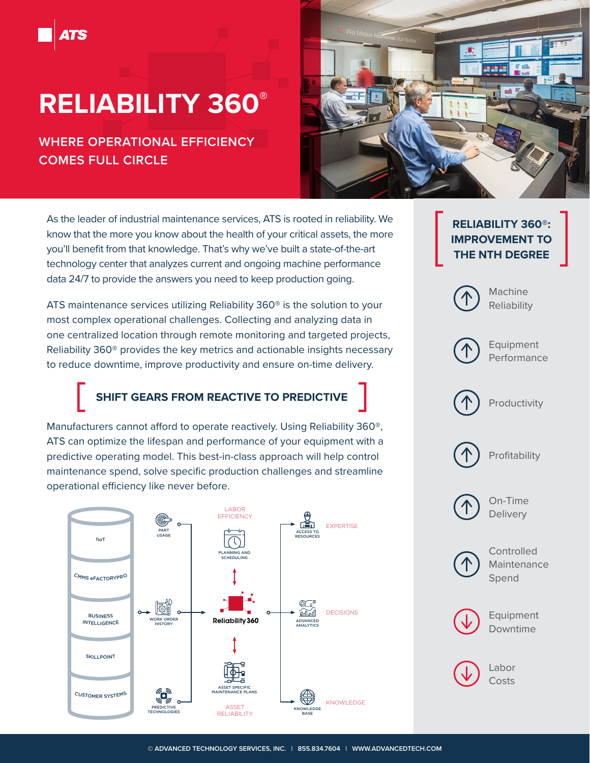## **RELIABILITY 360®**

## **WHERE OPERATIONAL EFFICIENCY COMES FULL CIRCLE**



As the leader of industrial maintenance services, ATS is rooted in reliability. We know that the more you know about the health of your critical assets, the more you'll benefit from that knowledge. That's why we've built a state-of-the-art technology center that analyzes current and ongoing machine performance data 24/7 to provide the answers you need to keep production going.

ATS maintenance services utilizing Reliability 360® is the solution to your most complex operational challenges. Collecting and analyzing data in one centralized location through remote monitoring and targeted projects, Reliability 360® provides the key metrics and actionable insights necessary to reduce downtime, improve productivity and ensure on-time delivery.

## **SHIFT GEARS FROM REACTIVE TO PREDICTIVE**

Manufacturers cannot afford to operate reactively. Using Reliability 360®, ATS can optimize the lifespan and performance of your equipment with a predictive operating model. This best-in-class approach will help control maintenance spend, solve specific production challenges and streamline operational efficiency like never before.